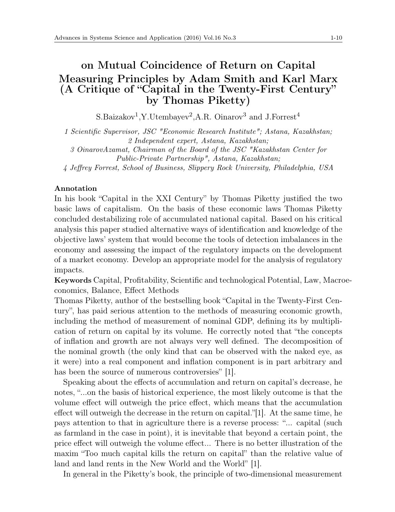## on Mutual Coincidence of Return on Capital Measuring Principles by Adam Smith and Karl Marx (A Critique of "Capital in the Twenty-First Century" by Thomas Piketty)

S.Baizakov<sup>1</sup>,Y.Utembayev<sup>2</sup>,A.R. Oinarov<sup>3</sup> and J.Forrest<sup>4</sup>

*1 Scientific Supervisor, JSC "Economic Research Institute"; Astana, Kazakhstan; 2 Independent expert, Astana, Kazakhstan;*

*3 OinarovAzamat, Chairman of the Board of the JSC "Kazakhstan Center for Public-Private Partnership", Astana, Kazakhstan;*

*4 Jeffrey Forrest, School of Business, Slippery Rock University, Philadelphia, USA*

## Annotation

In his book "Capital in the XXI Century" by Thomas Piketty justified the two basic laws of capitalism. On the basis of these economic laws Thomas Piketty concluded destabilizing role of accumulated national capital. Based on his critical analysis this paper studied alternative ways of identification and knowledge of the objective laws' system that would become the tools of detection imbalances in the economy and assessing the impact of the regulatory impacts on the development of a market economy. Develop an appropriate model for the analysis of regulatory impacts.

Keywords Capital, Profitability, Scientific and technological Potential, Law, Macroeconomics, Balance, Effect Methods

Thomas Piketty, author of the bestselling book "Capital in the Twenty-First Century", has paid serious attention to the methods of measuring economic growth, including the method of measurement of nominal GDP, defining its by multiplication of return on capital by its volume. He correctly noted that "the concepts of inflation and growth are not always very well defined. The decomposition of the nominal growth (the only kind that can be observed with the naked eye, as it were) into a real component and inflation component is in part arbitrary and has been the source of numerous controversies" [1].

Speaking about the effects of accumulation and return on capital's decrease, he notes, "...on the basis of historical experience, the most likely outcome is that the volume effect will outweigh the price effect, which means that the accumulation effect will outweigh the decrease in the return on capital."[1]. At the same time, he pays attention to that in agriculture there is a reverse process: "... capital (such as farmland in the case in point), it is inevitable that beyond a certain point, the price effect will outweigh the volume effect... There is no better illustration of the maxim "Too much capital kills the return on capital" than the relative value of land and land rents in the New World and the World" [1].

In general in the Piketty's book, the principle of two-dimensional measurement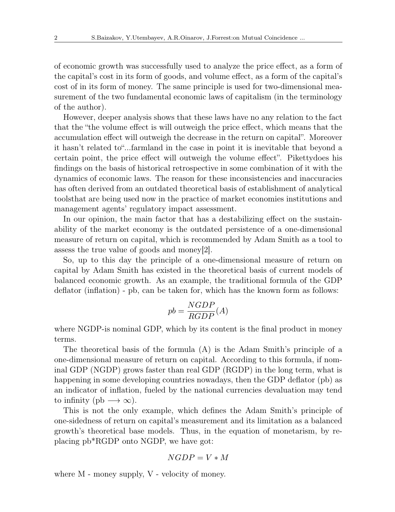of economic growth was successfully used to analyze the price effect, as a form of the capital's cost in its form of goods, and volume effect, as a form of the capital's cost of in its form of money. The same principle is used for two-dimensional measurement of the two fundamental economic laws of capitalism (in the terminology of the author).

However, deeper analysis shows that these laws have no any relation to the fact that the "the volume effect is will outweigh the price effect, which means that the accumulation effect will outweigh the decrease in the return on capital". Moreover it hasn't related to"...farmland in the case in point it is inevitable that beyond a certain point, the price effect will outweigh the volume effect". Pikettydoes his findings on the basis of historical retrospective in some combination of it with the dynamics of economic laws. The reason for these inconsistencies and inaccuracies has often derived from an outdated theoretical basis of establishment of analytical toolsthat are being used now in the practice of market economies institutions and management agents' regulatory impact assessment.

In our opinion, the main factor that has a destabilizing effect on the sustainability of the market economy is the outdated persistence of a one-dimensional measure of return on capital, which is recommended by Adam Smith as a tool to assess the true value of goods and money[2].

So, up to this day the principle of a one-dimensional measure of return on capital by Adam Smith has existed in the theoretical basis of current models of balanced economic growth. As an example, the traditional formula of the GDP deflator (inflation) - pb, can be taken for, which has the known form as follows:

$$
pb = \frac{NGDP}{RGDP}(A)
$$

where NGDP-is nominal GDP, which by its content is the final product in money terms.

The theoretical basis of the formula (A) is the Adam Smith's principle of a one-dimensional measure of return on capital. According to this formula, if nominal GDP (NGDP) grows faster than real GDP (RGDP) in the long term, what is happening in some developing countries nowadays, then the GDP deflator (pb) as an indicator of inflation, fueled by the national currencies devaluation may tend to infinity (pb  $\longrightarrow \infty$ ).

This is not the only example, which defines the Adam Smith's principle of one-sidedness of return on capital's measurement and its limitation as a balanced growth's theoretical base models. Thus, in the equation of monetarism, by replacing pb\*RGDP onto NGDP, we have got:

$$
NGDP = V * M
$$

where M - money supply, V - velocity of money.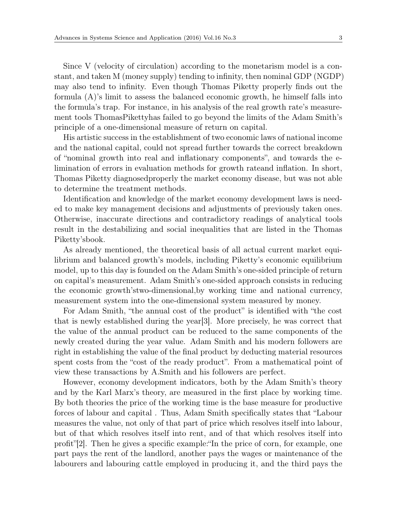Since V (velocity of circulation) according to the monetarism model is a constant, and taken M (money supply) tending to infinity, then nominal GDP (NGDP) may also tend to infinity. Even though Thomas Piketty properly finds out the formula (A)'s limit to assess the balanced economic growth, he himself falls into the formula's trap. For instance, in his analysis of the real growth rate's measurement tools ThomasPikettyhas failed to go beyond the limits of the Adam Smith's principle of a one-dimensional measure of return on capital.

His artistic success in the establishment of two economic laws of national income and the national capital, could not spread further towards the correct breakdown of "nominal growth into real and inflationary components", and towards the elimination of errors in evaluation methods for growth rateand inflation. In short, Thomas Piketty diagnosedproperly the market economy disease, but was not able to determine the treatment methods.

Identification and knowledge of the market economy development laws is needed to make key management decisions and adjustments of previously taken ones. Otherwise, inaccurate directions and contradictory readings of analytical tools result in the destabilizing and social inequalities that are listed in the Thomas Piketty'sbook.

As already mentioned, the theoretical basis of all actual current market equilibrium and balanced growth's models, including Piketty's economic equilibrium model, up to this day is founded on the Adam Smith's one-sided principle of return on capital's measurement. Adam Smith's one-sided approach consists in reducing the economic growth'stwo-dimensional,by working time and national currency, measurement system into the one-dimensional system measured by money.

For Adam Smith, "the annual cost of the product" is identified with "the cost that is newly established during the year[3]. More precisely, he was correct that the value of the annual product can be reduced to the same components of the newly created during the year value. Adam Smith and his modern followers are right in establishing the value of the final product by deducting material resources spent costs from the "cost of the ready product". From a mathematical point of view these transactions by A.Smith and his followers are perfect.

However, economy development indicators, both by the Adam Smith's theory and by the Karl Marx's theory, are measured in the first place by working time. By both theories the price of the working time is the base measure for productive forces of labour and capital . Thus, Adam Smith specifically states that "Labour measures the value, not only of that part of price which resolves itself into labour, but of that which resolves itself into rent, and of that which resolves itself into profit"[2]. Then he gives a specific example:"In the price of corn, for example, one part pays the rent of the landlord, another pays the wages or maintenance of the labourers and labouring cattle employed in producing it, and the third pays the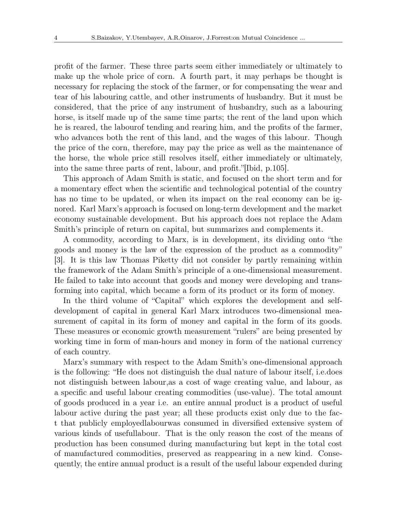profit of the farmer. These three parts seem either immediately or ultimately to make up the whole price of corn. A fourth part, it may perhaps be thought is necessary for replacing the stock of the farmer, or for compensating the wear and tear of his labouring cattle, and other instruments of husbandry. But it must be considered, that the price of any instrument of husbandry, such as a labouring horse, is itself made up of the same time parts; the rent of the land upon which he is reared, the labourof tending and rearing him, and the profits of the farmer, who advances both the rent of this land, and the wages of this labour. Though the price of the corn, therefore, may pay the price as well as the maintenance of the horse, the whole price still resolves itself, either immediately or ultimately, into the same three parts of rent, labour, and profit."[Ibid, p.105].

This approach of Adam Smith is static, and focused on the short term and for a momentary effect when the scientific and technological potential of the country has no time to be updated, or when its impact on the real economy can be ignored. Karl Marx's approach is focused on long-term development and the market economy sustainable development. But his approach does not replace the Adam Smith's principle of return on capital, but summarizes and complements it.

A commodity, according to Marx, is in development, its dividing onto "the goods and money is the law of the expression of the product as a commodity" [3]. It is this law Thomas Piketty did not consider by partly remaining within the framework of the Adam Smith's principle of a one-dimensional measurement. He failed to take into account that goods and money were developing and transforming into capital, which became a form of its product or its form of money.

In the third volume of "Capital" which explores the development and selfdevelopment of capital in general Karl Marx introduces two-dimensional measurement of capital in its form of money and capital in the form of its goods. These measures or economic growth measurement "rulers" are being presented by working time in form of man-hours and money in form of the national currency of each country.

Marx's summary with respect to the Adam Smith's one-dimensional approach is the following: "He does not distinguish the dual nature of labour itself, i.e.does not distinguish between labour,as a cost of wage creating value, and labour, as a specific and useful labour creating commodities (use-value). The total amount of goods produced in a year i.e. an entire annual product is a product of useful labour active during the past year; all these products exist only due to the fact that publicly employedlabourwas consumed in diversified extensive system of various kinds of usefullabour. That is the only reason the cost of the means of production has been consumed during manufacturing but kept in the total cost of manufactured commodities, preserved as reappearing in a new kind. Consequently, the entire annual product is a result of the useful labour expended during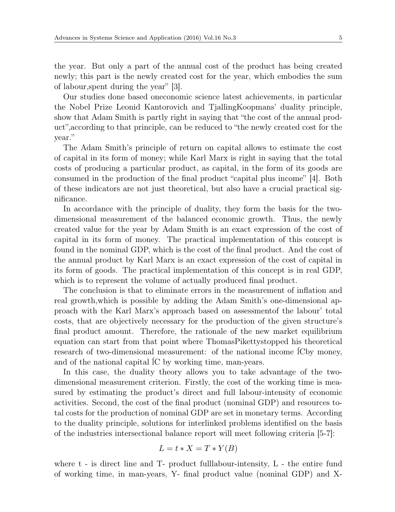the year. But only a part of the annual cost of the product has being created newly; this part is the newly created cost for the year, which embodies the sum of labour,spent during the year" [3].

Our studies done based oneconomic science latest achievements, in particular the Nobel Prize Leonid Kantorovich and TjallingKoopmans' duality principle, show that Adam Smith is partly right in saying that "the cost of the annual product",according to that principle, can be reduced to "the newly created cost for the year."

The Adam Smith's principle of return on capital allows to estimate the cost of capital in its form of money; while Karl Marx is right in saying that the total costs of producing a particular product, as capital, in the form of its goods are consumed in the production of the final product "capital plus income" [4]. Both of these indicators are not just theoretical, but also have a crucial practical significance.

In accordance with the principle of duality, they form the basis for the twodimensional measurement of the balanced economic growth. Thus, the newly created value for the year by Adam Smith is an exact expression of the cost of capital in its form of money. The practical implementation of this concept is found in the nominal GDP, which is the cost of the final product. And the cost of the annual product by Karl Marx is an exact expression of the cost of capital in its form of goods. The practical implementation of this concept is in real GDP, which is to represent the volume of actually produced final product.

The conclusion is that to eliminate errors in the measurement of inflation and real growth,which is possible by adding the Adam Smith's one-dimensional approach with the Karl Marx's approach based on assessmentof the labour' total costs, that are objectively necessary for the production of the given structure's final product amount. Therefore, the rationale of the new market equilibrium equation can start from that point where ThomasPikettystopped his theoretical research of two-dimensional measurement: of the national income  $\dot{C}$  compared lowand of the national capital ĺC by working time, man-years.

In this case, the duality theory allows you to take advantage of the twodimensional measurement criterion. Firstly, the cost of the working time is measured by estimating the product's direct and full labour-intensity of economic activities. Second, the cost of the final product (nominal GDP) and resources total costs for the production of nominal GDP are set in monetary terms. According to the duality principle, solutions for interlinked problems identified on the basis of the industries intersectional balance report will meet following criteria [5-7]:

$$
L = t * X = T * Y(B)
$$

where t - is direct line and T- product fulllabour-intensity, L - the entire fund of working time, in man-years, Y- final product value (nominal GDP) and X-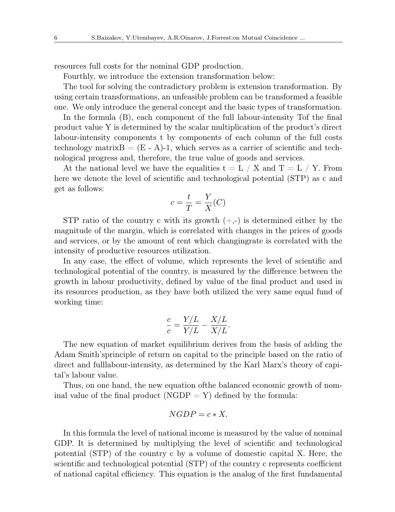resources full costs for the nominal GDP production.

Fourthly, we introduce the extension transformation below:

The tool for solving the contradictory problem is extension transformation. By using certain transformations, an unfeasible problem can be transformed a feasible one. We only introduce the general concept and the basic types of transformation.

In the formula (B), each component of the full labour-intensity Tof the final product value Y is determined by the scalar multiplication of the product's direct labour-intensity components t by components of each column of the full costs technology matrix $B = (E - A)$ -1, which serves as a carrier of scientific and technological progress and, therefore, the true value of goods and services.

At the national level we have the equalities  $t = L / X$  and  $T = L / Y$ . From here we denote the level of scientific and technological potential (STP) as c and get as follows:

$$
c = \frac{t}{T} = \frac{Y}{X}(C)
$$

STP ratio of the country c with its growth  $(+,-)$  is determined either by the magnitude of the margin, which is correlated with changes in the prices of goods and services, or by the amount of rent which changingrate is correlated with the intensity of productive resources utilization.

In any case, the effect of volume, which represents the level of scientific and technological potential of the country, is measured by the difference between the growth in labour productivity, defined by value of the final product and used in its resources production, as they have both utilized the very same equal fund of working time:

$$
\frac{c}{c} = \frac{Y/L}{Y/L} - \frac{X/L}{X/L}.
$$

The new equation of market equilibrium derives from the basis of adding the Adam Smith'sprinciple of return on capital to the principle based on the ratio of direct and fulllabour-intensity, as determined by the Karl Marx's theory of capital's labour value.

Thus, on one hand, the new equation ofthe balanced economic growth of nominal value of the final product (NGDP  $=$  Y) defined by the formula:

$$
NGDP = c * X.
$$

In this formula the level of national income is measured by the value of nominal GDP. It is determined by multiplying the level of scientific and technological potential (STP) of the country c by a volume of domestic capital X. Here, the scientific and technological potential (STP) of the country c represents coefficient of national capital efficiency. This equation is the analog of the first fundamental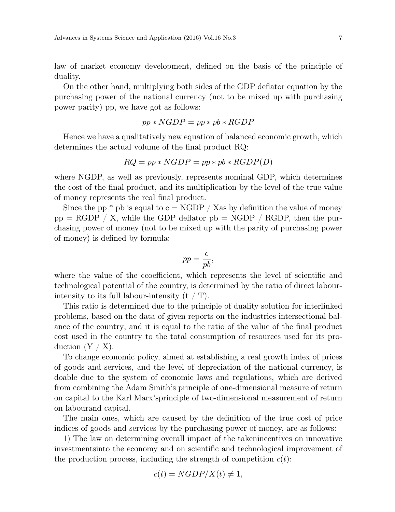law of market economy development, defined on the basis of the principle of duality.

On the other hand, multiplying both sides of the GDP deflator equation by the purchasing power of the national currency (not to be mixed up with purchasing power parity) pp, we have got as follows:

$$
pp * NGDP = pp * pb * RGDP
$$

Hence we have a qualitatively new equation of balanced economic growth, which determines the actual volume of the final product RQ:

$$
RQ = pp * NGDP = pp * pb * RGBP(D)
$$

where NGDP, as well as previously, represents nominal GDP, which determines the cost of the final product, and its multiplication by the level of the true value of money represents the real final product.

Since the pp  $*$  pb is equal to  $c = \text{NGDP} / \text{X}$  as by definition the value of money  $pp = RGDP / X$ , while the GDP deflator  $pb = NGDP / RGDP$ , then the purchasing power of money (not to be mixed up with the parity of purchasing power of money) is defined by formula:

$$
pp = \frac{c}{pb},
$$

where the value of the ccoefficient, which represents the level of scientific and technological potential of the country, is determined by the ratio of direct labourintensity to its full labour-intensity  $(t / T)$ .

This ratio is determined due to the principle of duality solution for interlinked problems, based on the data of given reports on the industries intersectional balance of the country; and it is equal to the ratio of the value of the final product cost used in the country to the total consumption of resources used for its production  $(Y / X)$ .

To change economic policy, aimed at establishing a real growth index of prices of goods and services, and the level of depreciation of the national currency, is doable due to the system of economic laws and regulations, which are derived from combining the Adam Smith's principle of one-dimensional measure of return on capital to the Karl Marx'sprinciple of two-dimensional measurement of return on labourand capital.

The main ones, which are caused by the definition of the true cost of price indices of goods and services by the purchasing power of money, are as follows:

1) The law on determining overall impact of the takenincentives on innovative investmentsinto the economy and on scientific and technological improvement of the production process, including the strength of competition  $c(t)$ :

$$
c(t) = NGDP/X(t) \neq 1,
$$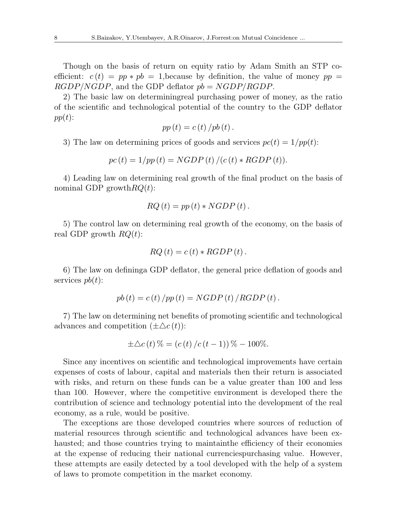Though on the basis of return on equity ratio by Adam Smith an STP coefficient:  $c(t) = pp * pb = 1$ , because by definition, the value of money  $pp =$ *RGDP/NGDP*, and the GDP deflator *pb* = *NGDP/RGDP*.

2) The basic law on determiningreal purchasing power of money, as the ratio of the scientific and technological potential of the country to the GDP deflator *pp*(*t*):

$$
pp(t) = c(t)/pb(t).
$$

3) The law on determining prices of goods and services  $pc(t) = 1/pp(t)$ :

$$
pc(t) = 1/pp(t) = NGDP(t)/(c(t) * RGBP(t)).
$$

4) Leading law on determining real growth of the final product on the basis of nominal GDP growth*RQ*(*t*):

$$
RQ(t) = pp(t) * NGDP(t).
$$

5) The control law on determining real growth of the economy, on the basis of real GDP growth *RQ*(*t*):

$$
RQ(t) = c(t) * RGDP(t).
$$

6) The law on defininga GDP deflator, the general price deflation of goods and services *pb*(*t*):

$$
pb(t) = c(t)/pp(t) = NGDP(t)/RGDP(t)
$$

7) The law on determining net benefits of promoting scientific and technological advances and competition  $(\pm \Delta c(t))$ :

$$
\pm \Delta c(t)\% = (c(t)/(c(t-1)))\% - 100\%.
$$

Since any incentives on scientific and technological improvements have certain expenses of costs of labour, capital and materials then their return is associated with risks, and return on these funds can be a value greater than 100 and less than 100. However, where the competitive environment is developed there the contribution of science and technology potential into the development of the real economy, as a rule, would be positive.

The exceptions are those developed countries where sources of reduction of material resources through scientific and technological advances have been exhausted; and those countries trying to maintain the efficiency of their economies at the expense of reducing their national currenciespurchasing value. However, these attempts are easily detected by a tool developed with the help of a system of laws to promote competition in the market economy.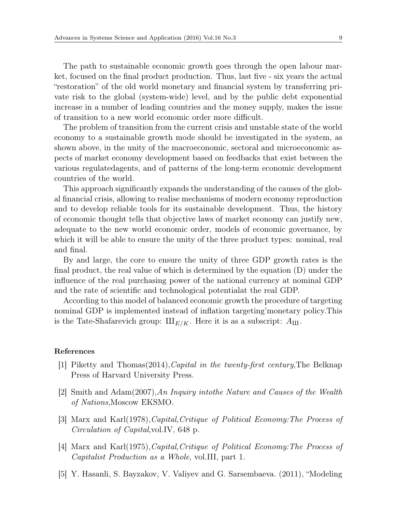The path to sustainable economic growth goes through the open labour market, focused on the final product production. Thus, last five - six years the actual "restoration" of the old world monetary and financial system by transferring private risk to the global (system-wide) level, and by the public debt exponential increase in a number of leading countries and the money supply, makes the issue of transition to a new world economic order more difficult.

The problem of transition from the current crisis and unstable state of the world economy to a sustainable growth mode should be investigated in the system, as shown above, in the unity of the macroeconomic, sectoral and microeconomic aspects of market economy development based on feedbacks that exist between the various regulatedagents, and of patterns of the long-term economic development countries of the world.

This approach significantly expands the understanding of the causes of the global financial crisis, allowing to realise mechanisms of modern economy reproduction and to develop reliable tools for its sustainable development. Thus, the history of economic thought tells that objective laws of market economy can justify new, adequate to the new world economic order, models of economic governance, by which it will be able to ensure the unity of the three product types: nominal, real and final.

By and large, the core to ensure the unity of three GDP growth rates is the final product, the real value of which is determined by the equation (D) under the influence of the real purchasing power of the national currency at nominal GDP and the rate of scientific and technological potentialat the real GDP.

According to this model of balanced economic growth the procedure of targeting nominal GDP is implemented instead of inflation targeting'monetary policy.This is the Tate-Shafarevich group:  $\mathop{\rm III}\nolimits_{E/K}$ . Here it is as a subscript:  $A_{\rm III}$ .

## References

- [1] Piketty and Thomas(2014),*Capital in the twenty-first century*,The Belknap Press of Harvard University Press.
- [2] Smith and Adam(2007),*An Inquiry intothe Nature and Causes of the Wealth of Nations*,Moscow EKSMO.
- [3] Marx and Karl(1978),*Capital,Critique of Political Economy:The Process of Circulation of Capital*,vol.IV, 648 p.
- [4] Marx and Karl(1975),*Capital,Critique of Political Economy:The Process of Capitalist Production as a Whole*, vol.III, part 1.
- [5] Y. Hasanli, S. Bayzakov, V. Valiyev and G. Sarsembaeva. (2011), "Modeling